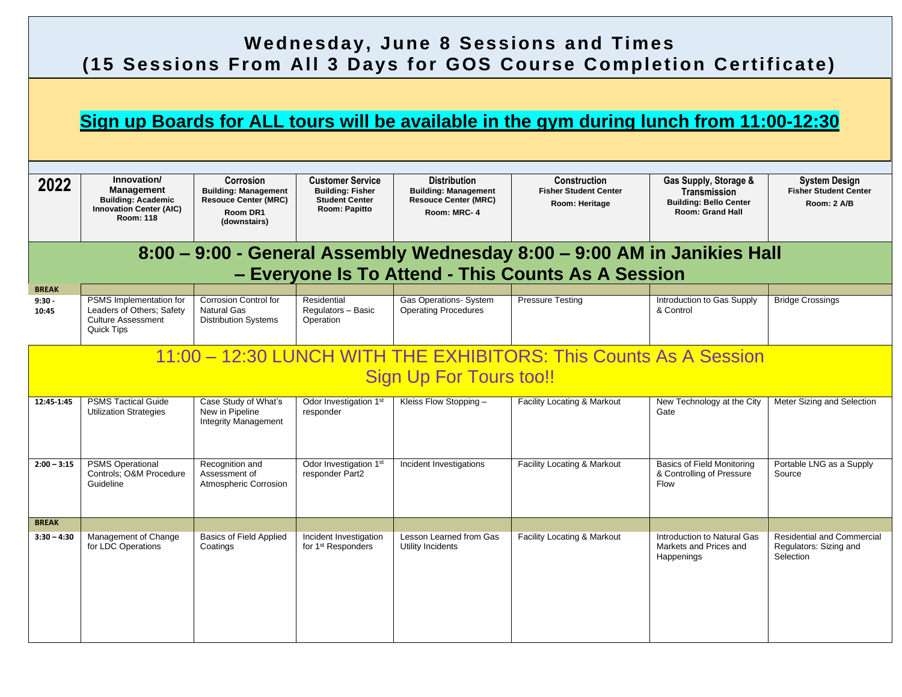## **Wednesday, June 8 Sessions and Times (15 Sessions From All 3 Days for GOS Course Completion Certificate)**

### **Sign up Boards for ALL tours will be available in the gym during lunch from 11:00-12:30**

| 2022                    | Innovation/<br><b>Management</b><br><b>Building: Academic</b><br><b>Innovation Center (AIC)</b><br><b>Room: 118</b> | Corrosion<br><b>Building: Management</b><br><b>Resouce Center (MRC)</b><br>Room DR1<br>(downstairs) | <b>Customer Service</b><br><b>Building: Fisher</b><br><b>Student Center</b><br>Room: Papitto | <b>Distribution</b><br><b>Building: Management</b><br><b>Resouce Center (MRC)</b><br>Room: MRC-4 | Construction<br><b>Fisher Student Center</b><br>Room: Heritage | Gas Supply, Storage &<br>Transmission<br><b>Building: Bello Center</b><br><b>Room: Grand Hall</b> | <b>System Design</b><br><b>Fisher Student Center</b><br>Room: 2 A/B      |  |  |  |
|-------------------------|---------------------------------------------------------------------------------------------------------------------|-----------------------------------------------------------------------------------------------------|----------------------------------------------------------------------------------------------|--------------------------------------------------------------------------------------------------|----------------------------------------------------------------|---------------------------------------------------------------------------------------------------|--------------------------------------------------------------------------|--|--|--|
|                         | 8:00 - 9:00 - General Assembly Wednesday 8:00 - 9:00 AM in Janikies Hall                                            |                                                                                                     |                                                                                              |                                                                                                  |                                                                |                                                                                                   |                                                                          |  |  |  |
|                         |                                                                                                                     |                                                                                                     |                                                                                              |                                                                                                  | - Everyone Is To Attend - This Counts As A Session             |                                                                                                   |                                                                          |  |  |  |
| <b>BREAK</b>            |                                                                                                                     |                                                                                                     |                                                                                              |                                                                                                  |                                                                |                                                                                                   |                                                                          |  |  |  |
| $9:30 -$<br>10:45       | PSMS Implementation for<br>Leaders of Others; Safety<br><b>Culture Assessment</b><br>Quick Tips                     | <b>Corrosion Control for</b><br>Natural Gas<br><b>Distribution Systems</b>                          | Residential<br>Regulators - Basic<br>Operation                                               | <b>Gas Operations- System</b><br><b>Operating Procedures</b>                                     | <b>Pressure Testing</b>                                        | Introduction to Gas Supply<br>& Control                                                           | <b>Bridge Crossings</b>                                                  |  |  |  |
|                         | 11:00 - 12:30 LUNCH WITH THE EXHIBITORS: This Counts As A Session                                                   |                                                                                                     |                                                                                              |                                                                                                  |                                                                |                                                                                                   |                                                                          |  |  |  |
| Sign Up For Tours too!! |                                                                                                                     |                                                                                                     |                                                                                              |                                                                                                  |                                                                |                                                                                                   |                                                                          |  |  |  |
| 12:45-1:45              | <b>PSMS Tactical Guide</b><br><b>Utilization Strategies</b>                                                         | Case Study of What's<br>New in Pipeline<br><b>Integrity Management</b>                              | Odor Investigation 1st<br>responder                                                          | Kleiss Flow Stopping -                                                                           | Facility Locating & Markout                                    | New Technology at the City<br>Gate                                                                | Meter Sizing and Selection                                               |  |  |  |
| $2:00 - 3:15$           | <b>PSMS Operational</b><br>Controls; O&M Procedure<br>Guideline                                                     | Recognition and<br>Assessment of<br>Atmospheric Corrosion                                           | Odor Investigation 1st<br>responder Part2                                                    | Incident Investigations                                                                          | Facility Locating & Markout                                    | <b>Basics of Field Monitoring</b><br>& Controlling of Pressure<br><b>Flow</b>                     | Portable LNG as a Supply<br>Source                                       |  |  |  |
| <b>BREAK</b>            |                                                                                                                     |                                                                                                     |                                                                                              |                                                                                                  |                                                                |                                                                                                   |                                                                          |  |  |  |
| $3:30 - 4:30$           | Management of Change<br>for LDC Operations                                                                          | <b>Basics of Field Applied</b><br>Coatings                                                          | Incident Investigation<br>for 1 <sup>st</sup> Responders                                     | Lesson Learned from Gas<br>Utility Incidents                                                     | Facility Locating & Markout                                    | Introduction to Natural Gas<br>Markets and Prices and<br>Happenings                               | <b>Residential and Commercial</b><br>Regulators: Sizing and<br>Selection |  |  |  |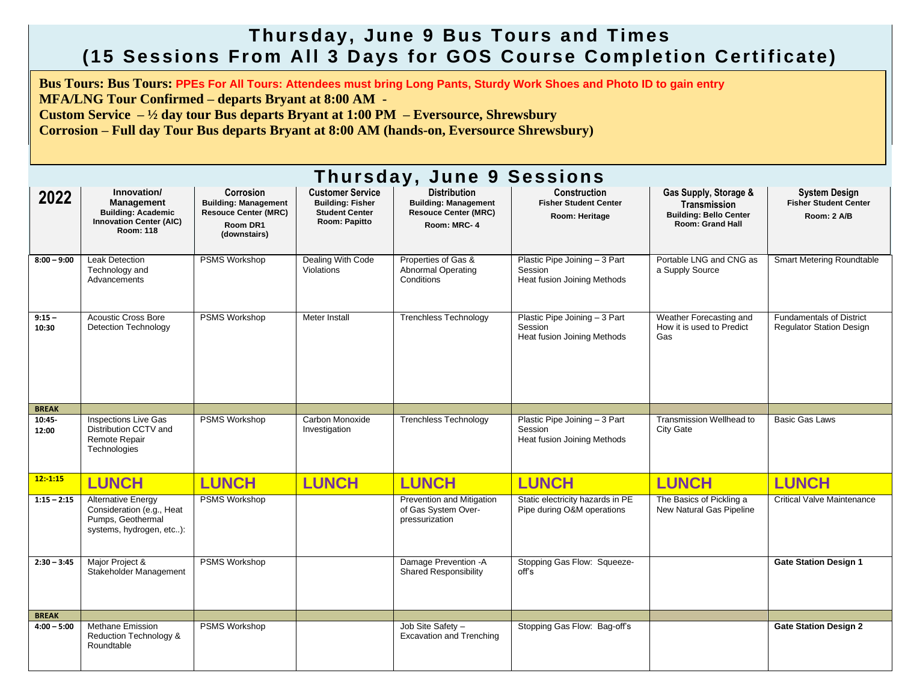#### **Thursday, June 9 Bus Tours and Times (15 Sessions From All 3 D ays for GOS Course Comple tion Certificate)**

**Bus Tours: Bus Tours: PPEs For All Tours: Attendees must bring Long Pants, Sturdy Work Shoes and Photo ID to gain entry**

**MFA/LNG Tour Confirmed – departs Bryant at 8:00 AM -**

**Custom Service – ½ day tour Bus departs Bryant at 1:00 PM – Eversource, Shrewsbury**

**Corrosion – Full day Tour Bus departs Bryant at 8:00 AM (hands-on, Eversource Shrewsbury)**

| Thursday, June 9 Sessions |                                                                                                                     |                                                                                                     |                                                                                              |                                                                                                  |                                                                         |                                                                                                          |                                                                     |  |  |
|---------------------------|---------------------------------------------------------------------------------------------------------------------|-----------------------------------------------------------------------------------------------------|----------------------------------------------------------------------------------------------|--------------------------------------------------------------------------------------------------|-------------------------------------------------------------------------|----------------------------------------------------------------------------------------------------------|---------------------------------------------------------------------|--|--|
| 2022                      | Innovation/<br><b>Management</b><br><b>Building: Academic</b><br><b>Innovation Center (AIC)</b><br><b>Room: 118</b> | Corrosion<br><b>Building: Management</b><br><b>Resouce Center (MRC)</b><br>Room DR1<br>(downstairs) | <b>Customer Service</b><br><b>Building: Fisher</b><br><b>Student Center</b><br>Room: Papitto | <b>Distribution</b><br><b>Building: Management</b><br><b>Resouce Center (MRC)</b><br>Room: MRC-4 | <b>Construction</b><br><b>Fisher Student Center</b><br>Room: Heritage   | Gas Supply, Storage &<br><b>Transmission</b><br><b>Building: Bello Center</b><br><b>Room: Grand Hall</b> | <b>System Design</b><br><b>Fisher Student Center</b><br>Room: 2 A/B |  |  |
| $8:00 - 9:00$             | <b>Leak Detection</b><br>Technology and<br>Advancements                                                             | <b>PSMS Workshop</b>                                                                                | Dealing With Code<br><b>Violations</b>                                                       | Properties of Gas &<br><b>Abnormal Operating</b><br>Conditions                                   | Plastic Pipe Joining - 3 Part<br>Session<br>Heat fusion Joining Methods | Portable LNG and CNG as<br>a Supply Source                                                               | <b>Smart Metering Roundtable</b>                                    |  |  |
| $9:15 -$<br>10:30         | <b>Acoustic Cross Bore</b><br>Detection Technology                                                                  | PSMS Workshop                                                                                       | Meter Install                                                                                | <b>Trenchless Technology</b>                                                                     | Plastic Pipe Joining - 3 Part<br>Session<br>Heat fusion Joining Methods | Weather Forecasting and<br>How it is used to Predict<br>Gas                                              | <b>Fundamentals of District</b><br><b>Regulator Station Design</b>  |  |  |
| <b>BREAK</b>              |                                                                                                                     |                                                                                                     |                                                                                              |                                                                                                  |                                                                         |                                                                                                          |                                                                     |  |  |
| 10:45-<br>12:00           | <b>Inspections Live Gas</b><br>Distribution CCTV and<br>Remote Repair<br>Technologies                               | PSMS Workshop                                                                                       | Carbon Monoxide<br>Investigation                                                             | <b>Trenchless Technology</b>                                                                     | Plastic Pipe Joining - 3 Part<br>Session<br>Heat fusion Joining Methods | Transmission Wellhead to<br><b>City Gate</b>                                                             | <b>Basic Gas Laws</b>                                               |  |  |
| $12: -1:15$               | <b>LUNCH</b>                                                                                                        | <b>LUNCH</b>                                                                                        | <b>LUNCH</b>                                                                                 | <b>LUNCH</b>                                                                                     | <b>LUNCH</b>                                                            | <b>LUNCH</b>                                                                                             | <b>LUNCH</b>                                                        |  |  |
| $1:15 - 2:15$             | <b>Alternative Energy</b><br>Consideration (e.g., Heat<br>Pumps, Geothermal<br>systems, hydrogen, etc):             | <b>PSMS Workshop</b>                                                                                |                                                                                              | Prevention and Mitigation<br>of Gas System Over-<br>pressurization                               | Static electricity hazards in PE<br>Pipe during O&M operations          | The Basics of Pickling a<br>New Natural Gas Pipeline                                                     | <b>Critical Valve Maintenance</b>                                   |  |  |
| $2:30 - 3:45$             | Major Project &<br>Stakeholder Management                                                                           | <b>PSMS Workshop</b>                                                                                |                                                                                              | Damage Prevention - A<br><b>Shared Responsibility</b>                                            | Stopping Gas Flow: Squeeze-<br>off's                                    |                                                                                                          | <b>Gate Station Design 1</b>                                        |  |  |
| <b>BREAK</b>              |                                                                                                                     |                                                                                                     |                                                                                              |                                                                                                  |                                                                         |                                                                                                          |                                                                     |  |  |
| $4:00 - 5:00$             | <b>Methane Emission</b><br>Reduction Technology &<br>Roundtable                                                     | <b>PSMS Workshop</b>                                                                                |                                                                                              | Job Site Safety -<br><b>Excavation and Trenching</b>                                             | Stopping Gas Flow: Bag-off's                                            |                                                                                                          | <b>Gate Station Design 2</b>                                        |  |  |